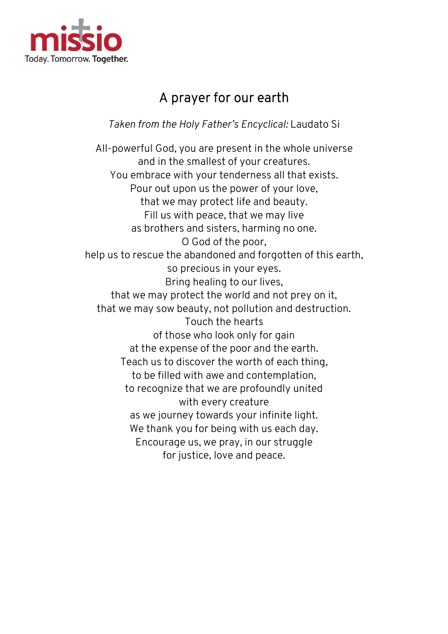

## A prayer for our earth

Taken from the Holy Father Father's Encyclical: Laudato Si

All-powerful God, you are present in the whole universe and in the smallest of your creatures. You embrace with your tenderness all that exists. powerful God, you are present in the whole u<br>and in the smallest of your creatures.<br>You embrace with your tenderness all that ex<br>Pour out upon us the power of your love, that we may protect life and beauty. Fill us with peace, that we may live as brothers and sisters, harming no one. help us to rescue the abandoned and forgotten of this earth,<br>so precious in your eyes. that we may protect the world and not prey on it, that we may sow beauty, not pollution and destruction. of those who look only for gain at the expense of the poor and the earth. at the expense of the poor and the earth.<br>Teach us to discover the worth of each thing, to be filled with awe and contemplation, to recognize that we are profoundly united as we journey towards your infinite light. We thank you for being with us each day. Encourage us, we pray, in our struggle that we may protect life and beauty<br>Fill us with peace, that we may live<br>as brothers and sisters, harming no o<br>O God of the poor, Bring healing to our lives, itect the world and not prey on it,<br>eauty, not pollution and destruction.<br>Touch the hearts I with awe and contemplation,<br>e that we are profoundly unite<br>with every creature journey towards your infinite li<br>ank you for being with us each<br>urage us, we pray, in our strug<br>for justice, love and peace.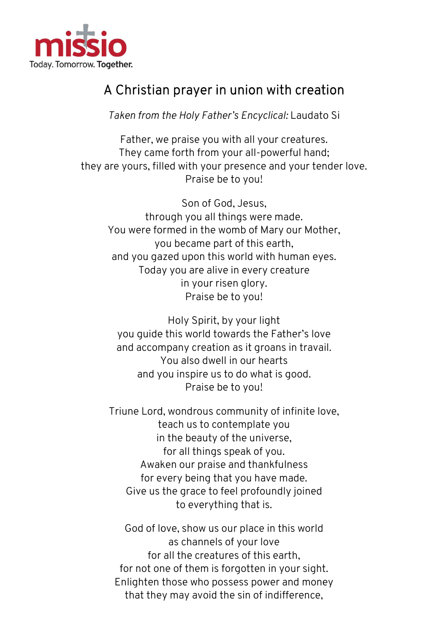

## A Christian prayer in union with creation A Christian prayer

Taken from the Holy Father Father's Encyclical: Laudato Si

Father, we praise you with all your creatures. Father, we praise you with all your creatures.<br>They came forth from your all-powerful hand; they are yours, filled with your presence and your tender love. they are Praise be to you!

through you all things were made. You were formed in the womb of Mary our Mother, you became part of this earth, and you gazed upon this world with human eyes. Today you are alive in every creature Son of God, Jesus, through you all things were made.<br>You were formed in the womb of Mary our N<br>you became part of this earth,<br>and you gazed upon this world with human<br>Today you are alive in every creature<br>in your risen glory. Praise be to you!

you guide this world towards the Father's love and accompany creation as it groans in travail. You also dwell in our hearts and you inspire us to do what is good. Holy Spirit, by your light e this world towards the Father's love<br>mpany creation as it groans in travail.<br>You also dwell in our hearts<br>you inspire us to do what is good.<br>Praise be to you!

Triune Lord, wondrous community of infinite love, teach us to conte contemplate you in the beauty of the universe, in the for all things speak of you. Awaken our praise and thankfulness for every being that you have made. being that Give us the grace to feel profoundly joined<br>to everything that is. in the myour all-powerful,<br>filled with your presence and you<br>Fraise be to you!<br>Son of God, Jesus,<br>through you all things were made.<br>Formed in the womb of Mary our<br>you became part of this earth,<br>gazed upon this world with h

God of love, show us our place in this world<br>as channels of your love for all the creatures of this earth, for not one of them is forgotten in your sight. Enlighten those who possess power and money that they may avoid the sin of indifference,